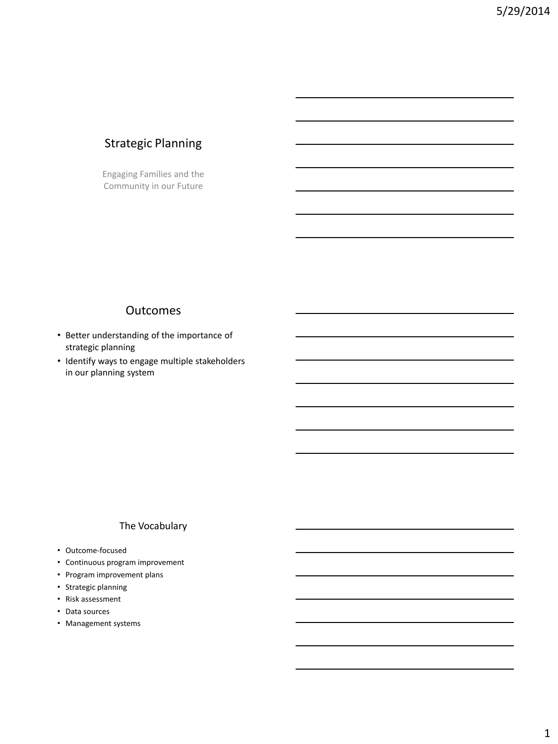# Strategic Planning

Engaging Families and the Community in our Future

#### **Outcomes**

- Better understanding of the importance of strategic planning
- Identify ways to engage multiple stakeholders in our planning system

#### The Vocabulary

- Outcome-focused
- Continuous program improvement
- Program improvement plans
- Strategic planning
- Risk assessment
- Data sources
- Management systems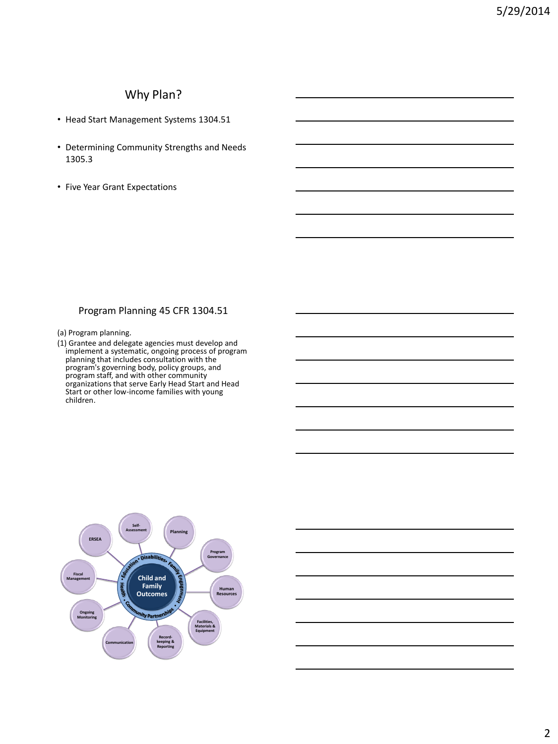## Why Plan?

- Head Start Management Systems 1304.51
- Determining Community Strengths and Needs 1305.3
- Five Year Grant Expectations

#### Program Planning 45 CFR 1304.51

- (a) Program planning.
- (1) Grantee and delegate agencies must develop and implement a systematic, ongoing process of program planning that includes consultation with the program's governing body, policy groups, and program staff, and with other community organizations that serve Early Head Start and Head Start or other low-income families with young children.

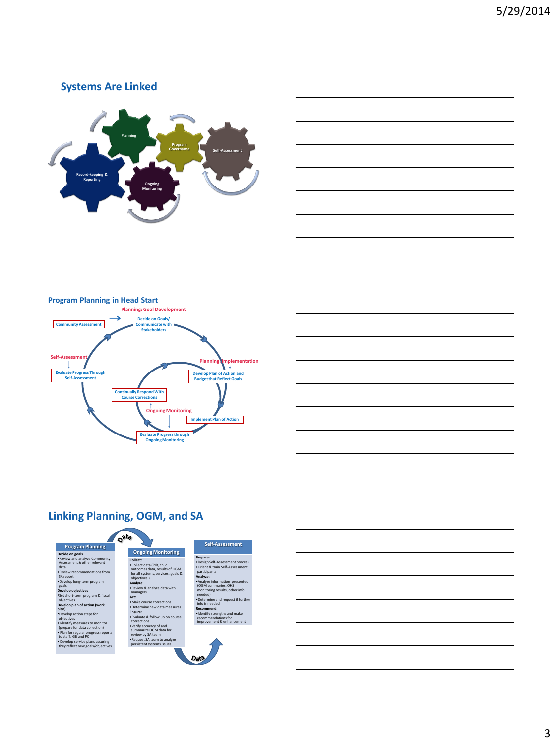#### **Systems Are Linked**





#### **Program Planning in Head Start**





# **Linking Planning, OGM, and SA**

|                                                                       | -at |                          |
|-----------------------------------------------------------------------|-----|--------------------------|
| <b>Program Planning</b>                                               |     |                          |
| Decide on goals                                                       |     |                          |
| . Review and analyze Community<br>Assessment & other relevant<br>data |     | Co<br>$\bullet$          |
| . Review recommendations from<br>SA report                            |     | $\circ$<br>f<br>$\Omega$ |
| .Develop long-term program<br>goals                                   |     | A<br>۰F                  |
| <b>Develop objectives</b>                                             |     | $\overline{a}$           |
| *Set short-term program & fiscal<br>objectives                        |     | $\Lambda$<br>$\bullet$   |
| Develop plan of action (work<br>plan)                                 |     | $\bullet$ f              |
| *Develop action steps for<br>objectives                               |     | Fr<br>۰F                 |
| . Identify measures to monitor<br>(prepare for data collection)       |     | c<br>٠١                  |
| . Plan for regular progress reports<br>to staff, GB and PC            |     | s<br>n                   |
| · Develop service plans assuring<br>they reflect new goals/objectives |     | ۰F<br>p                  |

**Ongoing Monitoring Collect:** •Collect data (PIR, child outcomes data, results of OGM for all systems,services, goals & objectives.) **Analyze:** •Review & analyze data with managers

•Make course corrections •Determine new data measures

**Ensure:** •Evaluate & follow up on course corrections

•Verify accuracy of and summarize OGM data for review by SA team •Request SA team to analyze persistent systems issues

**Act:**



**Self-Assessment**

(OGM summaries, OHS monitoring results, other info needed) •Determine and request if further info is needed **Recommend:** tify stren recommendations for improvement & enhancement

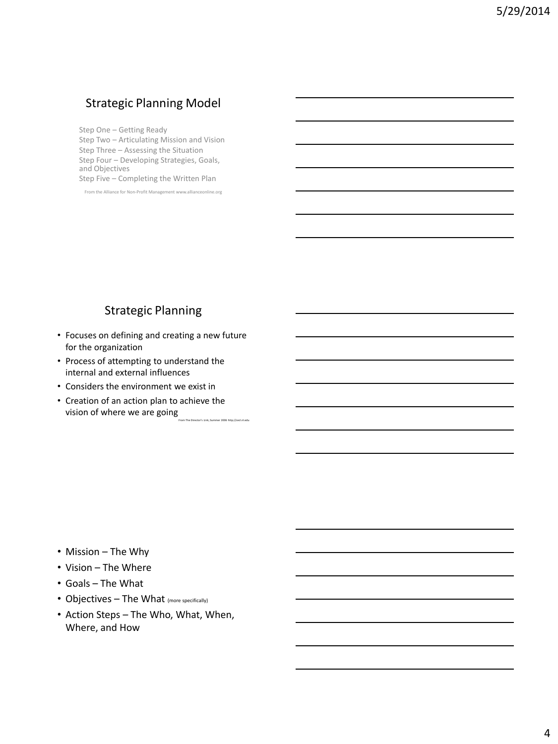## Strategic Planning Model

Step One – Getting Ready Step Two – Articulating Mission and Vision Step Three – Assessing the Situation Step Four – Developing Strategies, Goals, and Objectives Step Five – Completing the Written Plan

From the Alliance for Non-Profit Management www.allianceonline.org

## Strategic Planning

- Focuses on defining and creating a new future for the organization
- Process of attempting to understand the internal and external influences
- Considers the environment we exist in
- Creation of an action plan to achieve the vision of where we are going From The Director's Link, Summer 2006 http://cecl.nl.edu

- Mission The Why
- Vision The Where
- Goals The What
- Objectives The What (more specifically)
- Action Steps The Who, What, When, Where, and How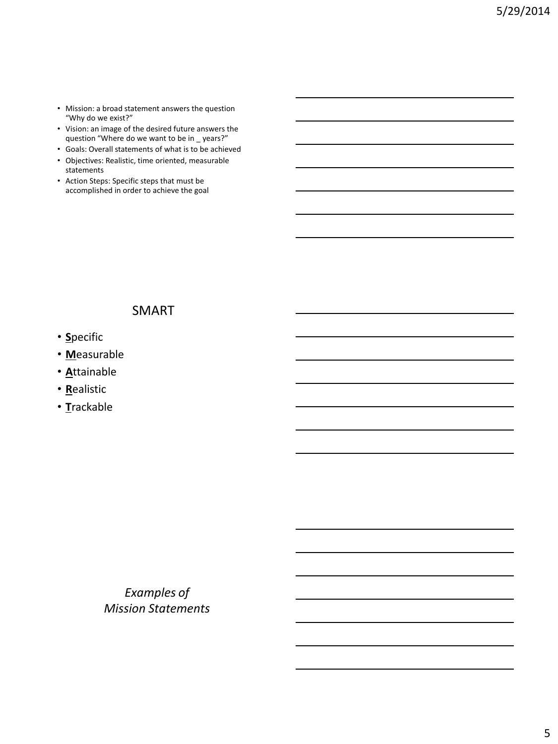- Mission: a broad statement answers the question "Why do we exist?"
- Vision: an image of the desired future answers the question "Where do we want to be in \_ years?"
- Goals: Overall statements of what is to be achieved
- Objectives: Realistic, time oriented, measurable statements
- Action Steps: Specific steps that must be accomplished in order to achieve the goal

# SMART

- **S**pecific
- **M**easurable
- **A**ttainable
- **R**ealistic
- **T**rackable

*Examples of Mission Statements*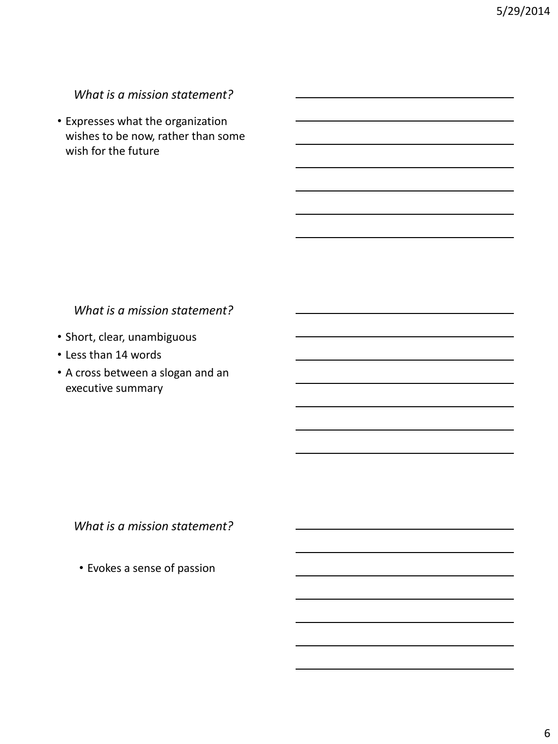*What is a mission statement?*

• Expresses what the organization wishes to be now, rather than some wish for the future

## *What is a mission statement?*

- Short, clear, unambiguous
- Less than 14 words
- A cross between a slogan and an executive summary

*What is a mission statement?*

• Evokes a sense of passion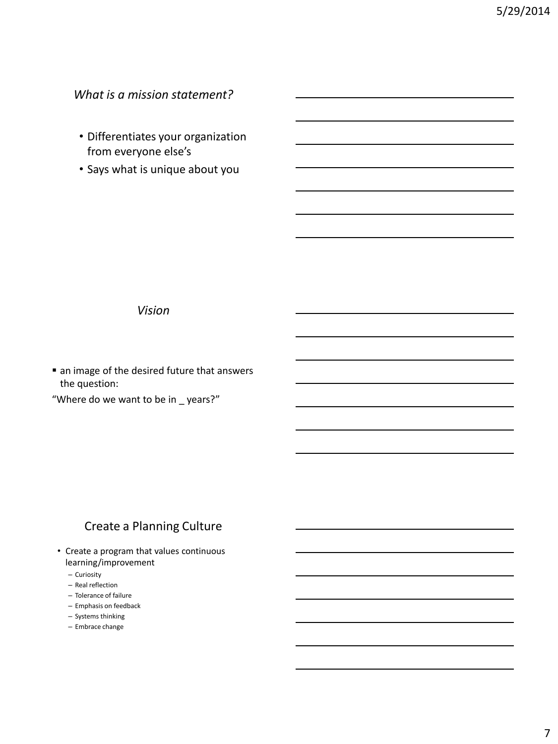*What is a mission statement?*

- Differentiates your organization from everyone else's
- Says what is unique about you

*Vision*

 $\blacksquare$  an image of the desired future that answers the question:

"Where do we want to be in \_ years?"

# Create a Planning Culture

- Create a program that values continuous learning/improvement
	- Curiosity
	- Real reflection
	- Tolerance of failure
	- Emphasis on feedback
	- Systems thinking
	- Embrace change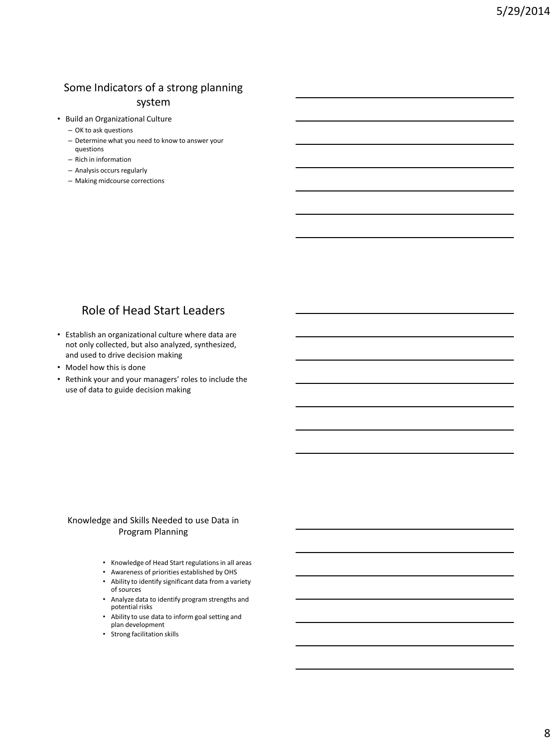# Some Indicators of a strong planning

#### system

- Build an Organizational Culture
	- OK to ask questions
	- Determine what you need to know to answer your questions
	- Rich in information
	- Analysis occurs regularly
	- Making midcourse corrections

# Role of Head Start Leaders

- Establish an organizational culture where data are not only collected, but also analyzed, synthesized, and used to drive decision making
- Model how this is done
- Rethink your and your managers' roles to include the use of data to guide decision making

#### Knowledge and Skills Needed to use Data in Program Planning

- Knowledge of Head Start regulations in all areas
- Awareness of priorities established by OHS
- Ability to identify significant data from a variety of sources
- Analyze data to identify program strengths and potential risks
- Ability to use data to inform goal setting and plan development
- Strong facilitation skills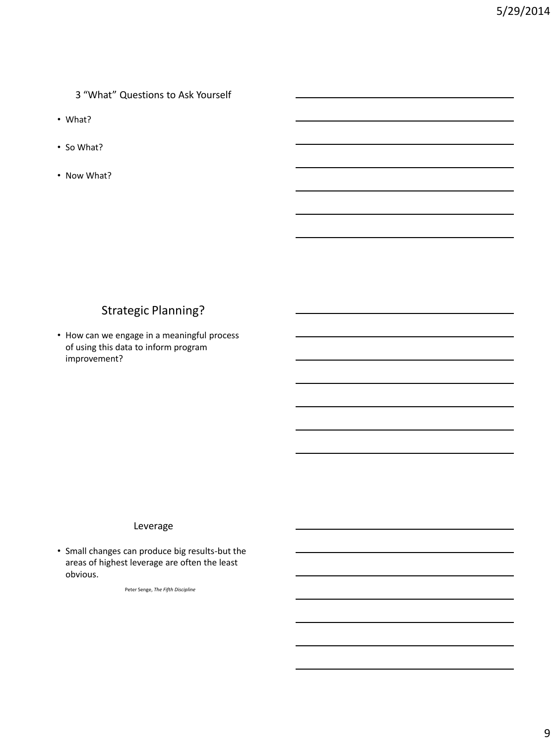3 "What" Questions to Ask Yourself

- What?
- So What?
- Now What?

## Strategic Planning?

• How can we engage in a meaningful process of using this data to inform program improvement?

#### Leverage

• Small changes can produce big results-but the areas of highest leverage are often the least obvious.

Peter Senge, *The Fifth Discipline*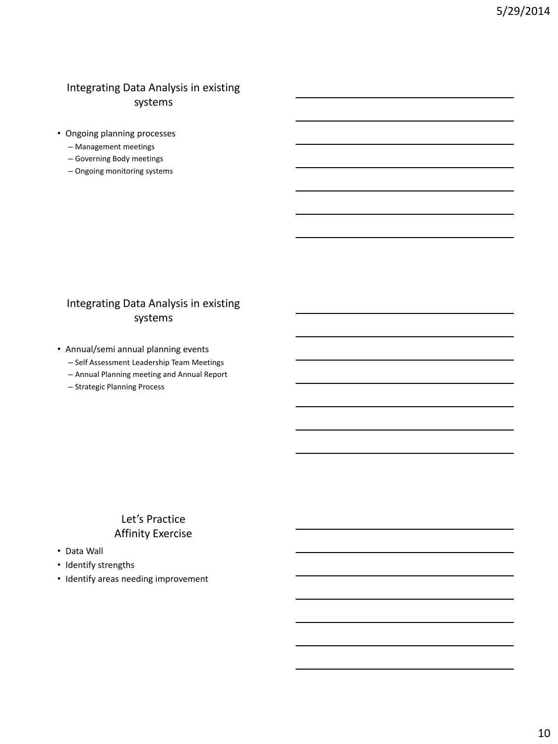### Integrating Data Analysis in existing systems

- Ongoing planning processes
	- Management meetings
	- Governing Body meetings
	- Ongoing monitoring systems

#### Integrating Data Analysis in existing systems

- Annual/semi annual planning events
	- Self Assessment Leadership Team Meetings
	- Annual Planning meeting and Annual Report
	- Strategic Planning Process

### Let's Practice Affinity Exercise

- Data Wall
- Identify strengths
- Identify areas needing improvement